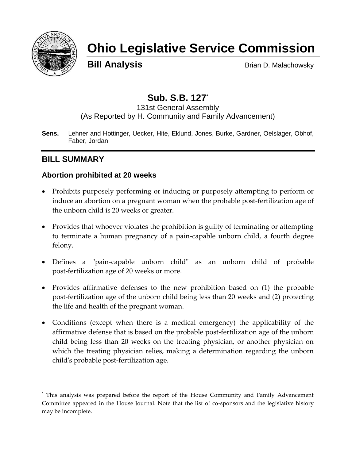

# **Ohio Legislative Service Commission**

**Bill Analysis** Brian D. Malachowsky

# **Sub. S.B. 127\***

131st General Assembly (As Reported by H. Community and Family Advancement)

**Sens.** Lehner and Hottinger, Uecker, Hite, Eklund, Jones, Burke, Gardner, Oelslager, Obhof, Faber, Jordan

# **BILL SUMMARY**

 $\overline{a}$ 

#### **Abortion prohibited at 20 weeks**

- Prohibits purposely performing or inducing or purposely attempting to perform or induce an abortion on a pregnant woman when the probable post-fertilization age of the unborn child is 20 weeks or greater.
- Provides that whoever violates the prohibition is guilty of terminating or attempting to terminate a human pregnancy of a pain-capable unborn child, a fourth degree felony.
- Defines a "pain-capable unborn child" as an unborn child of probable post-fertilization age of 20 weeks or more.
- Provides affirmative defenses to the new prohibition based on (1) the probable post-fertilization age of the unborn child being less than 20 weeks and (2) protecting the life and health of the pregnant woman.
- Conditions (except when there is a medical emergency) the applicability of the affirmative defense that is based on the probable post-fertilization age of the unborn child being less than 20 weeks on the treating physician, or another physician on which the treating physician relies, making a determination regarding the unborn child's probable post-fertilization age.

<sup>\*</sup> This analysis was prepared before the report of the House Community and Family Advancement Committee appeared in the House Journal. Note that the list of co-sponsors and the legislative history may be incomplete.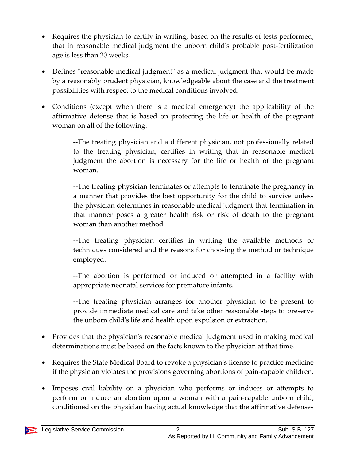- Requires the physician to certify in writing, based on the results of tests performed, that in reasonable medical judgment the unborn child's probable post-fertilization age is less than 20 weeks.
- Defines "reasonable medical judgment" as a medical judgment that would be made by a reasonably prudent physician, knowledgeable about the case and the treatment possibilities with respect to the medical conditions involved.
- Conditions (except when there is a medical emergency) the applicability of the affirmative defense that is based on protecting the life or health of the pregnant woman on all of the following:

--The treating physician and a different physician, not professionally related to the treating physician, certifies in writing that in reasonable medical judgment the abortion is necessary for the life or health of the pregnant woman.

--The treating physician terminates or attempts to terminate the pregnancy in a manner that provides the best opportunity for the child to survive unless the physician determines in reasonable medical judgment that termination in that manner poses a greater health risk or risk of death to the pregnant woman than another method.

--The treating physician certifies in writing the available methods or techniques considered and the reasons for choosing the method or technique employed.

--The abortion is performed or induced or attempted in a facility with appropriate neonatal services for premature infants.

--The treating physician arranges for another physician to be present to provide immediate medical care and take other reasonable steps to preserve the unborn child's life and health upon expulsion or extraction.

- Provides that the physician's reasonable medical judgment used in making medical determinations must be based on the facts known to the physician at that time.
- Requires the State Medical Board to revoke a physician's license to practice medicine if the physician violates the provisions governing abortions of pain-capable children.
- Imposes civil liability on a physician who performs or induces or attempts to perform or induce an abortion upon a woman with a pain-capable unborn child, conditioned on the physician having actual knowledge that the affirmative defenses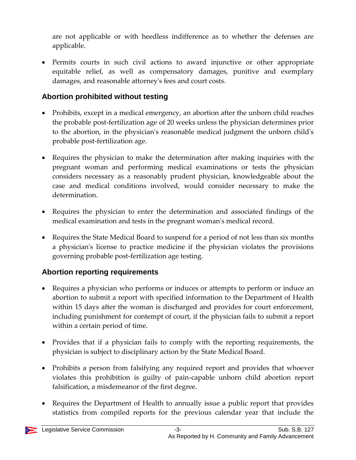are not applicable or with heedless indifference as to whether the defenses are applicable.

 Permits courts in such civil actions to award injunctive or other appropriate equitable relief, as well as compensatory damages, punitive and exemplary damages, and reasonable attorney's fees and court costs.

#### **Abortion prohibited without testing**

- Prohibits, except in a medical emergency, an abortion after the unborn child reaches the probable post-fertilization age of 20 weeks unless the physician determines prior to the abortion, in the physician's reasonable medical judgment the unborn child's probable post-fertilization age.
- Requires the physician to make the determination after making inquiries with the pregnant woman and performing medical examinations or tests the physician considers necessary as a reasonably prudent physician, knowledgeable about the case and medical conditions involved, would consider necessary to make the determination.
- Requires the physician to enter the determination and associated findings of the medical examination and tests in the pregnant woman's medical record.
- Requires the State Medical Board to suspend for a period of not less than six months a physician's license to practice medicine if the physician violates the provisions governing probable post-fertilization age testing.

## **Abortion reporting requirements**

- Requires a physician who performs or induces or attempts to perform or induce an abortion to submit a report with specified information to the Department of Health within 15 days after the woman is discharged and provides for court enforcement, including punishment for contempt of court, if the physician fails to submit a report within a certain period of time.
- Provides that if a physician fails to comply with the reporting requirements, the physician is subject to disciplinary action by the State Medical Board.
- Prohibits a person from falsifying any required report and provides that whoever violates this prohibition is guilty of pain-capable unborn child abortion report falsification, a misdemeanor of the first degree.
- Requires the Department of Health to annually issue a public report that provides statistics from compiled reports for the previous calendar year that include the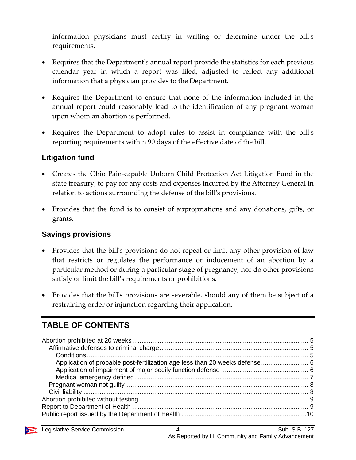information physicians must certify in writing or determine under the bill's requirements.

- Requires that the Department's annual report provide the statistics for each previous calendar year in which a report was filed, adjusted to reflect any additional information that a physician provides to the Department.
- Requires the Department to ensure that none of the information included in the annual report could reasonably lead to the identification of any pregnant woman upon whom an abortion is performed.
- Requires the Department to adopt rules to assist in compliance with the bill's reporting requirements within 90 days of the effective date of the bill.

#### **Litigation fund**

- Creates the Ohio Pain-capable Unborn Child Protection Act Litigation Fund in the state treasury, to pay for any costs and expenses incurred by the Attorney General in relation to actions surrounding the defense of the bill's provisions.
- Provides that the fund is to consist of appropriations and any donations, gifts, or grants.

#### **Savings provisions**

- Provides that the bill's provisions do not repeal or limit any other provision of law that restricts or regulates the performance or inducement of an abortion by a particular method or during a particular stage of pregnancy, nor do other provisions satisfy or limit the bill's requirements or prohibitions.
- Provides that the bill's provisions are severable, should any of them be subject of a restraining order or injunction regarding their application.

# **TABLE OF CONTENTS**

| Application of probable post-fertilization age less than 20 weeks defense 6 |  |
|-----------------------------------------------------------------------------|--|
|                                                                             |  |
|                                                                             |  |
|                                                                             |  |
|                                                                             |  |
|                                                                             |  |
|                                                                             |  |
|                                                                             |  |

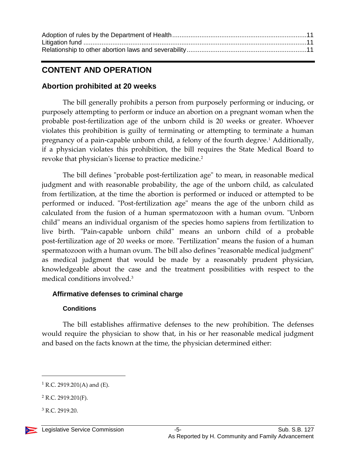# **CONTENT AND OPERATION**

#### <span id="page-4-0"></span>**Abortion prohibited at 20 weeks**

The bill generally prohibits a person from purposely performing or inducing, or purposely attempting to perform or induce an abortion on a pregnant woman when the probable post-fertilization age of the unborn child is 20 weeks or greater. Whoever violates this prohibition is guilty of terminating or attempting to terminate a human pregnancy of a pain-capable unborn child, a felony of the fourth degree.<sup>1</sup> Additionally, if a physician violates this prohibition, the bill requires the State Medical Board to revoke that physician's license to practice medicine.<sup>2</sup>

The bill defines "probable post-fertilization age" to mean, in reasonable medical judgment and with reasonable probability, the age of the unborn child, as calculated from fertilization, at the time the abortion is performed or induced or attempted to be performed or induced. "Post-fertilization age" means the age of the unborn child as calculated from the fusion of a human spermatozoon with a human ovum. "Unborn child" means an individual organism of the species homo sapiens from fertilization to live birth. "Pain-capable unborn child" means an unborn child of a probable post-fertilization age of 20 weeks or more. "Fertilization" means the fusion of a human spermatozoon with a human ovum. The bill also defines "reasonable medical judgment" as medical judgment that would be made by a reasonably prudent physician, knowledgeable about the case and the treatment possibilities with respect to the medical conditions involved.<sup>3</sup>

#### <span id="page-4-1"></span>**Affirmative defenses to criminal charge**

#### **Conditions**

<span id="page-4-2"></span>The bill establishes affirmative defenses to the new prohibition. The defenses would require the physician to show that, in his or her reasonable medical judgment and based on the facts known at the time, the physician determined either:

<sup>3</sup> R.C. 2919.20.

 $1$  R.C. 2919.201(A) and (E).

 $2$  R.C. 2919.201(F).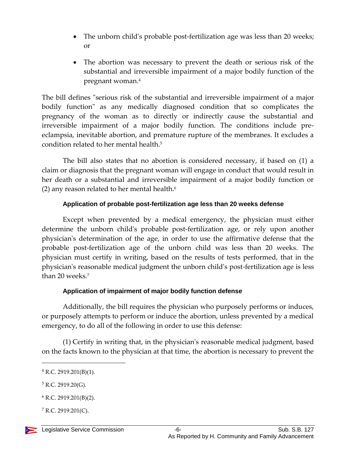- The unborn child's probable post-fertilization age was less than 20 weeks; or
- The abortion was necessary to prevent the death or serious risk of the substantial and irreversible impairment of a major bodily function of the pregnant woman.<sup>4</sup>

The bill defines "serious risk of the substantial and irreversible impairment of a major bodily function" as any medically diagnosed condition that so complicates the pregnancy of the woman as to directly or indirectly cause the substantial and irreversible impairment of a major bodily function. The conditions include preeclampsia, inevitable abortion, and premature rupture of the membranes. It excludes a condition related to her mental health.<sup>5</sup>

The bill also states that no abortion is considered necessary, if based on (1) a claim or diagnosis that the pregnant woman will engage in conduct that would result in her death or a substantial and irreversible impairment of a major bodily function or (2) any reason related to her mental health. $6$ 

#### **Application of probable post-fertilization age less than 20 weeks defense**

<span id="page-5-0"></span>Except when prevented by a medical emergency, the physician must either determine the unborn child's probable post-fertilization age, or rely upon another physician's determination of the age, in order to use the affirmative defense that the probable post-fertilization age of the unborn child was less than 20 weeks. The physician must certify in writing, based on the results of tests performed, that in the physician's reasonable medical judgment the unborn child's post-fertilization age is less than 20 weeks.<sup>7</sup>

#### **Application of impairment of major bodily function defense**

<span id="page-5-1"></span>Additionally, the bill requires the physician who purposely performs or induces, or purposely attempts to perform or induce the abortion, unless prevented by a medical emergency, to do all of the following in order to use this defense:

(1) Certify in writing that, in the physician's reasonable medical judgment, based on the facts known to the physician at that time, the abortion is necessary to prevent the

 $4$  R.C. 2919.201(B)(1).

 $5$  R.C. 2919.20(G).

 $6$  R.C. 2919.201(B)(2).

 $7$  R.C. 2919.201(C).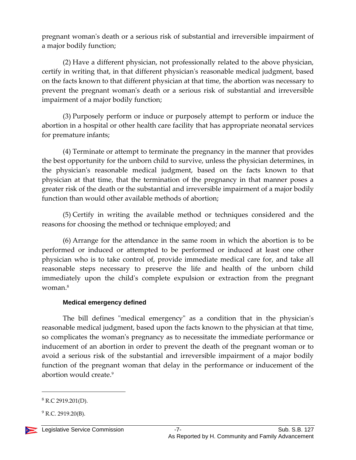pregnant woman's death or a serious risk of substantial and irreversible impairment of a major bodily function;

(2) Have a different physician, not professionally related to the above physician, certify in writing that, in that different physician's reasonable medical judgment, based on the facts known to that different physician at that time, the abortion was necessary to prevent the pregnant woman's death or a serious risk of substantial and irreversible impairment of a major bodily function;

(3) Purposely perform or induce or purposely attempt to perform or induce the abortion in a hospital or other health care facility that has appropriate neonatal services for premature infants;

(4) Terminate or attempt to terminate the pregnancy in the manner that provides the best opportunity for the unborn child to survive, unless the physician determines, in the physician's reasonable medical judgment, based on the facts known to that physician at that time, that the termination of the pregnancy in that manner poses a greater risk of the death or the substantial and irreversible impairment of a major bodily function than would other available methods of abortion;

(5) Certify in writing the available method or techniques considered and the reasons for choosing the method or technique employed; and

(6) Arrange for the attendance in the same room in which the abortion is to be performed or induced or attempted to be performed or induced at least one other physician who is to take control of, provide immediate medical care for, and take all reasonable steps necessary to preserve the life and health of the unborn child immediately upon the child's complete expulsion or extraction from the pregnant woman.<sup>8</sup>

#### **Medical emergency defined**

<span id="page-6-0"></span>The bill defines "medical emergency" as a condition that in the physician's reasonable medical judgment, based upon the facts known to the physician at that time, so complicates the woman's pregnancy as to necessitate the immediate performance or inducement of an abortion in order to prevent the death of the pregnant woman or to avoid a serious risk of the substantial and irreversible impairment of a major bodily function of the pregnant woman that delay in the performance or inducement of the abortion would create.<sup>9</sup>

 $9$  R.C. 2919.20(B).



 $8$  R.C 2919.201(D).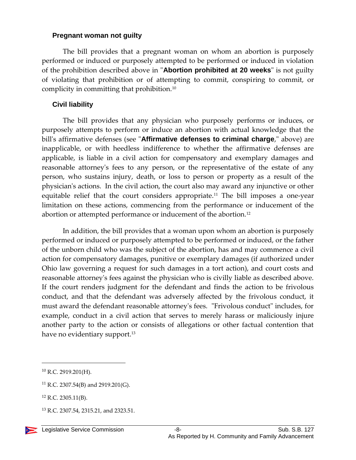#### <span id="page-7-0"></span>**Pregnant woman not guilty**

The bill provides that a pregnant woman on whom an abortion is purposely performed or induced or purposely attempted to be performed or induced in violation of the prohibition described above in "**Abortion prohibited at 20 weeks**" is not guilty of violating that prohibition or of attempting to commit, conspiring to commit, or complicity in committing that prohibition.<sup>10</sup>

#### <span id="page-7-1"></span>**Civil liability**

The bill provides that any physician who purposely performs or induces, or purposely attempts to perform or induce an abortion with actual knowledge that the bill's affirmative defenses (see "**Affirmative defenses to criminal charge**," above) are inapplicable, or with heedless indifference to whether the affirmative defenses are applicable, is liable in a civil action for compensatory and exemplary damages and reasonable attorney's fees to any person, or the representative of the estate of any person, who sustains injury, death, or loss to person or property as a result of the physician's actions. In the civil action, the court also may award any injunctive or other equitable relief that the court considers appropriate.<sup>11</sup> The bill imposes a one-year limitation on these actions, commencing from the performance or inducement of the abortion or attempted performance or inducement of the abortion.<sup>12</sup>

In addition, the bill provides that a woman upon whom an abortion is purposely performed or induced or purposely attempted to be performed or induced, or the father of the unborn child who was the subject of the abortion, has and may commence a civil action for compensatory damages, punitive or exemplary damages (if authorized under Ohio law governing a request for such damages in a tort action), and court costs and reasonable attorney's fees against the physician who is civilly liable as described above. If the court renders judgment for the defendant and finds the action to be frivolous conduct, and that the defendant was adversely affected by the frivolous conduct, it must award the defendant reasonable attorney's fees. "Frivolous conduct" includes, for example, conduct in a civil action that serves to merely harass or maliciously injure another party to the action or consists of allegations or other factual contention that have no evidentiary support.<sup>13</sup>

 $10$  R.C. 2919.201(H).

<sup>11</sup> R.C. 2307.54(B) and 2919.201(G).

<sup>12</sup> R.C. 2305.11(B).

<sup>&</sup>lt;sup>13</sup> R.C. 2307.54, 2315.21, and 2323.51.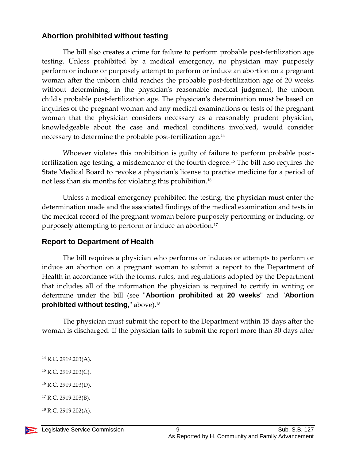#### <span id="page-8-0"></span>**Abortion prohibited without testing**

The bill also creates a crime for failure to perform probable post-fertilization age testing. Unless prohibited by a medical emergency, no physician may purposely perform or induce or purposely attempt to perform or induce an abortion on a pregnant woman after the unborn child reaches the probable post-fertilization age of 20 weeks without determining, in the physician's reasonable medical judgment, the unborn child's probable post-fertilization age. The physician's determination must be based on inquiries of the pregnant woman and any medical examinations or tests of the pregnant woman that the physician considers necessary as a reasonably prudent physician, knowledgeable about the case and medical conditions involved, would consider necessary to determine the probable post-fertilization age.<sup>14</sup>

Whoever violates this prohibition is guilty of failure to perform probable postfertilization age testing, a misdemeanor of the fourth degree.<sup>15</sup> The bill also requires the State Medical Board to revoke a physician's license to practice medicine for a period of not less than six months for violating this prohibition.<sup>16</sup>

Unless a medical emergency prohibited the testing, the physician must enter the determination made and the associated findings of the medical examination and tests in the medical record of the pregnant woman before purposely performing or inducing, or purposely attempting to perform or induce an abortion.<sup>17</sup>

#### <span id="page-8-1"></span>**Report to Department of Health**

The bill requires a physician who performs or induces or attempts to perform or induce an abortion on a pregnant woman to submit a report to the Department of Health in accordance with the forms, rules, and regulations adopted by the Department that includes all of the information the physician is required to certify in writing or determine under the bill (see "**Abortion prohibited at 20 weeks"** and "**Abortion prohibited without testing**," above).<sup>18</sup>

The physician must submit the report to the Department within 15 days after the woman is discharged. If the physician fails to submit the report more than 30 days after

 $\overline{a}$ 

<sup>16</sup> R.C. 2919.203(D).

 $18$  R.C. 2919.202(A).



<sup>14</sup> R.C. 2919.203(A).

 $15$  R.C. 2919.203(C).

<sup>17</sup> R.C. 2919.203(B).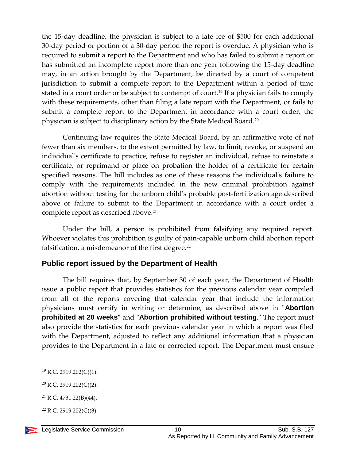the 15-day deadline, the physician is subject to a late fee of \$500 for each additional 30-day period or portion of a 30-day period the report is overdue. A physician who is required to submit a report to the Department and who has failed to submit a report or has submitted an incomplete report more than one year following the 15-day deadline may, in an action brought by the Department, be directed by a court of competent jurisdiction to submit a complete report to the Department within a period of time stated in a court order or be subject to contempt of court.<sup>19</sup> If a physician fails to comply with these requirements, other than filing a late report with the Department, or fails to submit a complete report to the Department in accordance with a court order, the physician is subject to disciplinary action by the State Medical Board.<sup>20</sup>

Continuing law requires the State Medical Board, by an affirmative vote of not fewer than six members, to the extent permitted by law, to limit, revoke, or suspend an individual's certificate to practice, refuse to register an individual, refuse to reinstate a certificate, or reprimand or place on probation the holder of a certificate for certain specified reasons. The bill includes as one of these reasons the individual's failure to comply with the requirements included in the new criminal prohibition against abortion without testing for the unborn child's probable post-fertilization age described above or failure to submit to the Department in accordance with a court order a complete report as described above.<sup>21</sup>

Under the bill, a person is prohibited from falsifying any required report. Whoever violates this prohibition is guilty of pain-capable unborn child abortion report falsification, a misdemeanor of the first degree.<sup>22</sup>

#### <span id="page-9-0"></span>**Public report issued by the Department of Health**

The bill requires that, by September 30 of each year, the Department of Health issue a public report that provides statistics for the previous calendar year compiled from all of the reports covering that calendar year that include the information physicians must certify in writing or determine, as described above in "**Abortion prohibited at 20 weeks"** and "**Abortion prohibited without testing**." The report must also provide the statistics for each previous calendar year in which a report was filed with the Department, adjusted to reflect any additional information that a physician provides to the Department in a late or corrected report. The Department must ensure

 $22$  R.C. 2919.202(C)(3).



<sup>19</sup> R.C. 2919.202(C)(1).

<sup>20</sup> R.C. 2919.202(C)(2).

<sup>21</sup> R.C. 4731.22(B)(44).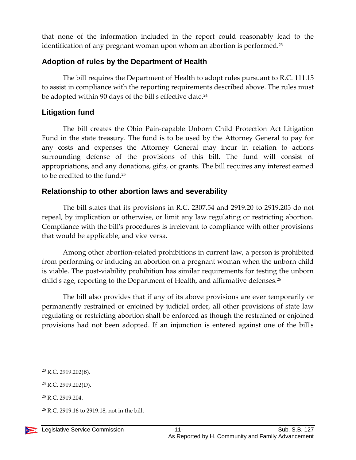that none of the information included in the report could reasonably lead to the identification of any pregnant woman upon whom an abortion is performed.<sup>23</sup>

#### <span id="page-10-0"></span>**Adoption of rules by the Department of Health**

The bill requires the Department of Health to adopt rules pursuant to R.C. 111.15 to assist in compliance with the reporting requirements described above. The rules must be adopted within 90 days of the bill's effective date.<sup>24</sup>

#### <span id="page-10-1"></span>**Litigation fund**

The bill creates the Ohio Pain-capable Unborn Child Protection Act Litigation Fund in the state treasury. The fund is to be used by the Attorney General to pay for any costs and expenses the Attorney General may incur in relation to actions surrounding defense of the provisions of this bill. The fund will consist of appropriations, and any donations, gifts, or grants. The bill requires any interest earned to be credited to the fund.<sup>25</sup>

#### <span id="page-10-2"></span>**Relationship to other abortion laws and severability**

The bill states that its provisions in R.C. 2307.54 and 2919.20 to 2919.205 do not repeal, by implication or otherwise, or limit any law regulating or restricting abortion. Compliance with the bill's procedures is irrelevant to compliance with other provisions that would be applicable, and vice versa.

Among other abortion-related prohibitions in current law, a person is prohibited from performing or inducing an abortion on a pregnant woman when the unborn child is viable. The post-viability prohibition has similar requirements for testing the unborn child's age, reporting to the Department of Health, and affirmative defenses.<sup>26</sup>

The bill also provides that if any of its above provisions are ever temporarily or permanently restrained or enjoined by judicial order, all other provisions of state law regulating or restricting abortion shall be enforced as though the restrained or enjoined provisions had not been adopted. If an injunction is entered against one of the bill's

<sup>23</sup> R.C. 2919.202(B).

<sup>24</sup> R.C. 2919.202(D).

<sup>25</sup> R.C. 2919.204.

<sup>26</sup> R.C. 2919.16 to 2919.18, not in the bill.